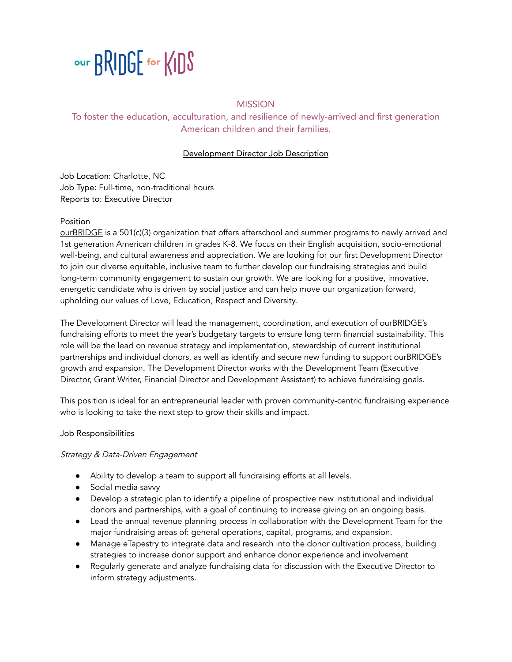

# **MISSION**

To foster the education, acculturation, and resilience of newly-arrived and first generation American children and their families.

## Development Director Job Description

Job Location: Charlotte, NC Job Type: Full-time, non-traditional hours Reports to: Executive Director

# Position

[ourBRIDGE](https://www.joinourbridge.org/) is a 501(c)(3) organization that offers afterschool and summer programs to newly arrived and 1st generation American children in grades K-8. We focus on their English acquisition, socio-emotional well-being, and cultural awareness and appreciation. We are looking for our first Development Director to join our diverse equitable, inclusive team to further develop our fundraising strategies and build long-term community engagement to sustain our growth. We are looking for a positive, innovative, energetic candidate who is driven by social justice and can help move our organization forward, upholding our values of Love, Education, Respect and Diversity.

The Development Director will lead the management, coordination, and execution of ourBRIDGE's fundraising efforts to meet the year's budgetary targets to ensure long term financial sustainability. This role will be the lead on revenue strategy and implementation, stewardship of current institutional partnerships and individual donors, as well as identify and secure new funding to support ourBRIDGE's growth and expansion. The Development Director works with the Development Team (Executive Director, Grant Writer, Financial Director and Development Assistant) to achieve fundraising goals.

This position is ideal for an entrepreneurial leader with proven community-centric fundraising experience who is looking to take the next step to grow their skills and impact.

#### Job Responsibilities

#### Strategy & Data-Driven Engagement

- Ability to develop a team to support all fundraising efforts at all levels.
- Social media savvy
- Develop a strategic plan to identify a pipeline of prospective new institutional and individual donors and partnerships, with a goal of continuing to increase giving on an ongoing basis.
- Lead the annual revenue planning process in collaboration with the Development Team for the major fundraising areas of: general operations, capital, programs, and expansion.
- Manage eTapestry to integrate data and research into the donor cultivation process, building strategies to increase donor support and enhance donor experience and involvement
- Regularly generate and analyze fundraising data for discussion with the Executive Director to inform strategy adjustments.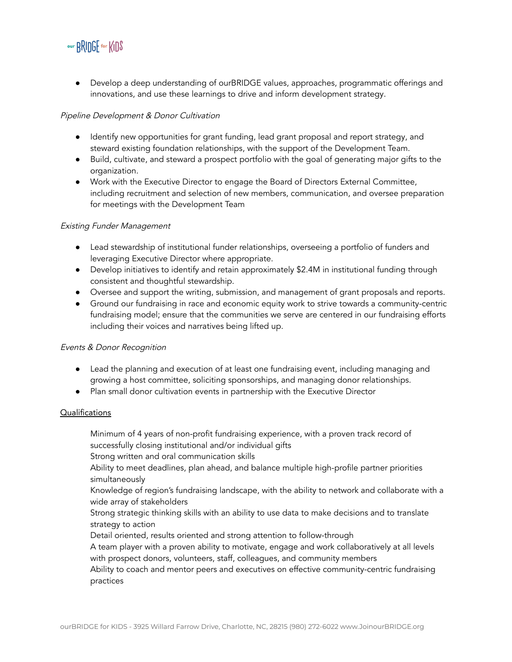

● Develop a deep understanding of ourBRIDGE values, approaches, programmatic offerings and innovations, and use these learnings to drive and inform development strategy.

## Pipeline Development & Donor Cultivation

- Identify new opportunities for grant funding, lead grant proposal and report strategy, and steward existing foundation relationships, with the support of the Development Team.
- Build, cultivate, and steward a prospect portfolio with the goal of generating major gifts to the organization.
- Work with the Executive Director to engage the Board of Directors External Committee, including recruitment and selection of new members, communication, and oversee preparation for meetings with the Development Team

## Existing Funder Management

- Lead stewardship of institutional funder relationships, overseeing a portfolio of funders and leveraging Executive Director where appropriate.
- Develop initiatives to identify and retain approximately \$2.4M in institutional funding through consistent and thoughtful stewardship.
- Oversee and support the writing, submission, and management of grant proposals and reports.
- Ground our fundraising in race and economic equity work to strive towards a community-centric fundraising model; ensure that the communities we serve are centered in our fundraising efforts including their voices and narratives being lifted up.

# Events & Donor Recognition

- Lead the planning and execution of at least one fundraising event, including managing and growing a host committee, soliciting sponsorships, and managing donor relationships.
- Plan small donor cultivation events in partnership with the Executive Director

#### Qualifications

Minimum of 4 years of non-profit fundraising experience, with a proven track record of successfully closing institutional and/or individual gifts

Strong written and oral communication skills

Ability to meet deadlines, plan ahead, and balance multiple high-profile partner priorities simultaneously

Knowledge of region's fundraising landscape, with the ability to network and collaborate with a wide array of stakeholders

Strong strategic thinking skills with an ability to use data to make decisions and to translate strategy to action

Detail oriented, results oriented and strong attention to follow-through

A team player with a proven ability to motivate, engage and work collaboratively at all levels with prospect donors, volunteers, staff, colleagues, and community members

Ability to coach and mentor peers and executives on effective community-centric fundraising practices